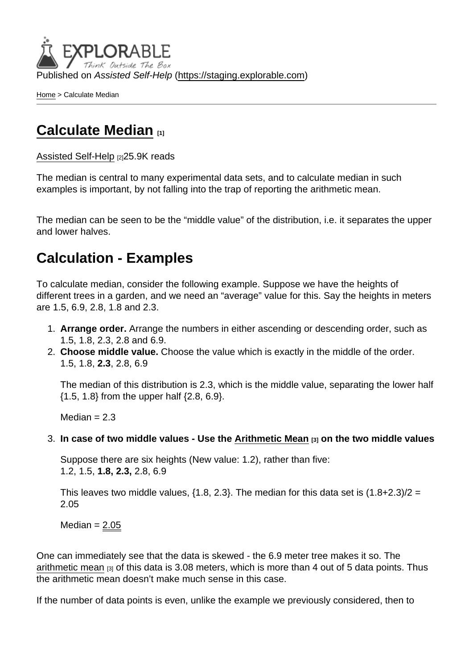Published on Assisted Self-Help [\(https://staging.explorable.com](https://staging.explorable.com))

[Home](https://staging.explorable.com/en) > Calculate Median

## [Calculate Median](https://staging.explorable.com/en/calculate-median) [1]

[Assisted Self-Help](https://staging.explorable.com/en) [2]25.9K reads

The median is central to many experimental data sets, and to calculate median in such examples is important, by not falling into the trap of reporting the arithmetic mean.

The median can be seen to be the "middle value" of the distribution, i.e. it separates the upper and lower halves.

## Calculation - Examples

To calculate median, consider the following example. Suppose we have the heights of different trees in a garden, and we need an "average" value for this. Say the heights in meters are 1.5, 6.9, 2.8, 1.8 and 2.3.

- 1. Arrange order. Arrange the numbers in either ascending or descending order, such as 1.5, 1.8, 2.3, 2.8 and 6.9.
- 2. Choose middle value. Choose the value which is exactly in the middle of the order. 1.5, 1.8, 2.3, 2.8, 6.9

The median of this distribution is 2.3, which is the middle value, separating the lower half {1.5, 1.8} from the upper half {2.8, 6.9}.

Median  $= 2.3$ 

3. In case of two middle values - Use the [Arithmetic Mean](https://staging.explorable.com/arithmetic-mean)  $_{[3]}$  on the two middle values

Suppose there are six heights (New value: 1.2), rather than five: 1.2, 1.5, 1.8, 2.3, 2.8, 6.9

This leaves two middle values,  $\{1.8, 2.3\}$ . The median for this data set is  $(1.8+2.3)/2 =$ 2.05

Median  $= 2.05$ 

One can immediately see that the data is skewed - the 6.9 meter tree makes it so. The [arithmetic mean](https://staging.explorable.com/arithmetic-mean) [3] of this data is 3.08 meters, which is more than 4 out of 5 data points. Thus the arithmetic mean doesn't make much sense in this case.

If the number of data points is even, unlike the example we previously considered, then to